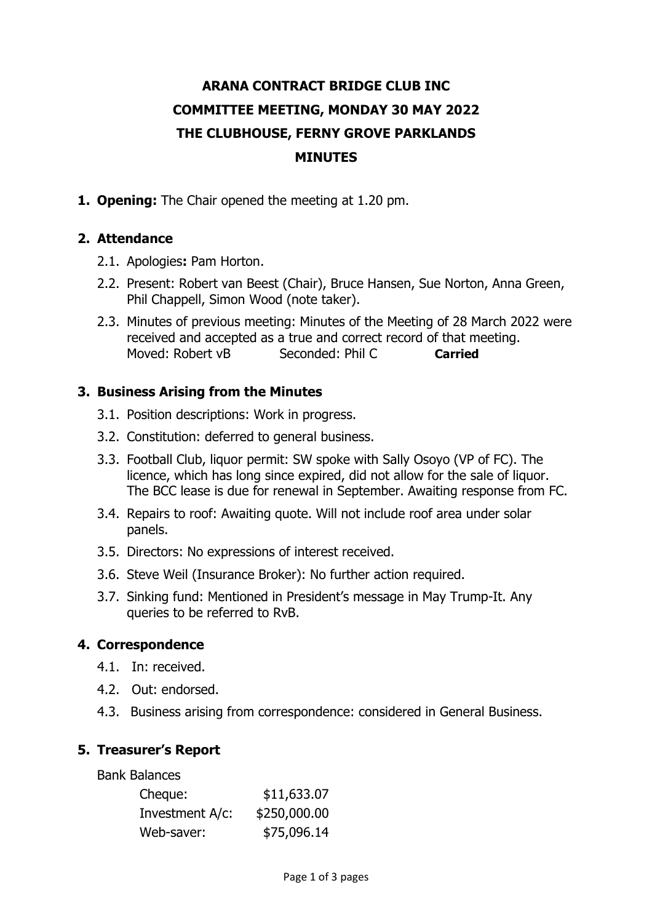# **ARANA CONTRACT BRIDGE CLUB INC COMMITTEE MEETING, MONDAY 30 MAY 2022 THE CLUBHOUSE, FERNY GROVE PARKLANDS MINUTES**

**1. Opening:** The Chair opened the meeting at 1.20 pm.

## **2. Attendance**

- 2.1. Apologies**:** Pam Horton.
- 2.2. Present: Robert van Beest (Chair), Bruce Hansen, Sue Norton, Anna Green, Phil Chappell, Simon Wood (note taker).
- 2.3. Minutes of previous meeting: Minutes of the Meeting of 28 March 2022 were received and accepted as a true and correct record of that meeting. Moved: Robert vB Seconded: Phil C **Carried**

## **3. Business Arising from the Minutes**

- 3.1. Position descriptions: Work in progress.
- 3.2. Constitution: deferred to general business.
- 3.3. Football Club, liquor permit: SW spoke with Sally Osoyo (VP of FC). The licence, which has long since expired, did not allow for the sale of liquor. The BCC lease is due for renewal in September. Awaiting response from FC.
- 3.4. Repairs to roof: Awaiting quote. Will not include roof area under solar panels.
- 3.5. Directors: No expressions of interest received.
- 3.6. Steve Weil (Insurance Broker): No further action required.
- 3.7. Sinking fund: Mentioned in President's message in May Trump-It. Any queries to be referred to RvB.

## **4. Correspondence**

- 4.1. In: received.
- 4.2. Out: endorsed.
- 4.3. Business arising from correspondence: considered in General Business.

## **5. Treasurer's Report**

Bank Balances

| \$11,633.07  |
|--------------|
| \$250,000.00 |
| \$75,096.14  |
|              |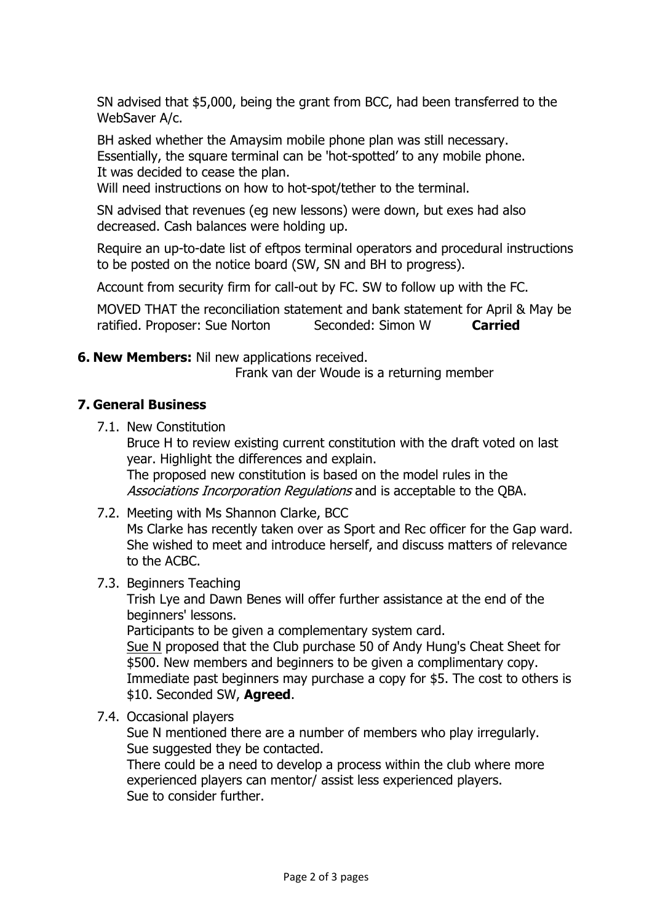SN advised that \$5,000, being the grant from BCC, had been transferred to the WebSaver A/c.

BH asked whether the Amaysim mobile phone plan was still necessary. Essentially, the square terminal can be 'hot-spotted' to any mobile phone. It was decided to cease the plan.

Will need instructions on how to hot-spot/tether to the terminal.

SN advised that revenues (eg new lessons) were down, but exes had also decreased. Cash balances were holding up.

Require an up-to-date list of eftpos terminal operators and procedural instructions to be posted on the notice board (SW, SN and BH to progress).

Account from security firm for call-out by FC. SW to follow up with the FC.

MOVED THAT the reconciliation statement and bank statement for April & May be ratified. Proposer: Sue Norton Seconded: Simon W **Carried** 

**6. New Members:** Nil new applications received.

Frank van der Woude is a returning member

### **7. General Business**

7.1. New Constitution

Bruce H to review existing current constitution with the draft voted on last year. Highlight the differences and explain. The proposed new constitution is based on the model rules in the Associations Incorporation Regulations and is acceptable to the QBA.

7.2. Meeting with Ms Shannon Clarke, BCC

Ms Clarke has recently taken over as Sport and Rec officer for the Gap ward. She wished to meet and introduce herself, and discuss matters of relevance to the ACBC.

7.3. Beginners Teaching

Trish Lye and Dawn Benes will offer further assistance at the end of the beginners' lessons.

Participants to be given a complementary system card.

Sue N proposed that the Club purchase 50 of Andy Hung's Cheat Sheet for \$500. New members and beginners to be given a complimentary copy. Immediate past beginners may purchase a copy for \$5. The cost to others is \$10. Seconded SW, **Agreed**.

7.4. Occasional players

Sue N mentioned there are a number of members who play irregularly. Sue suggested they be contacted.

There could be a need to develop a process within the club where more experienced players can mentor/ assist less experienced players. Sue to consider further.